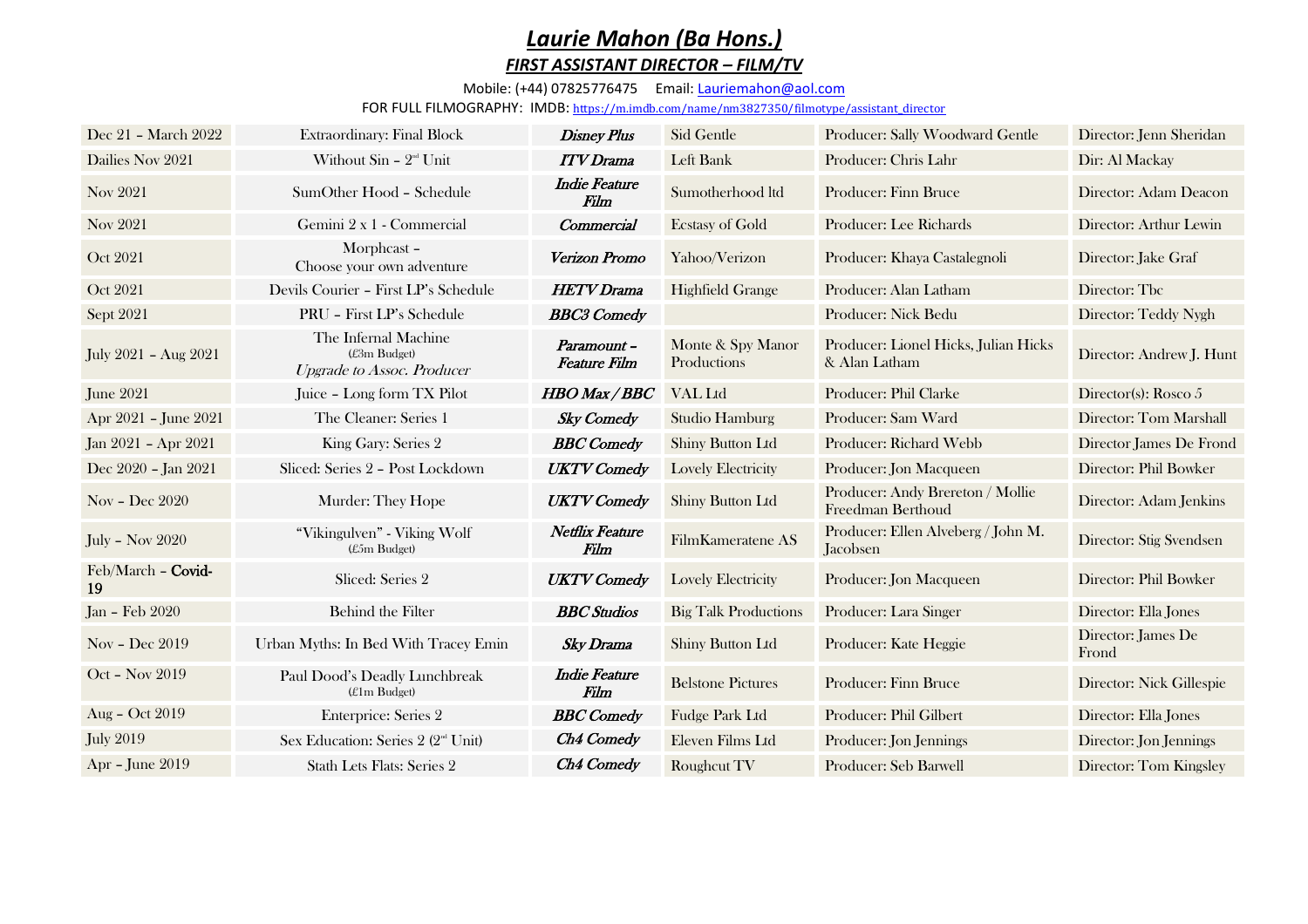## *Laurie Mahon (Ba Hons.) FIRST ASSISTANT DIRECTOR – FILM/TV*

## Mobile: (+44) 07825776475 Email: [Lauriemahon@aol.com](mailto:Lauriemahon@aol.com)

FOR FULL FILMOGRAPHY: IMDB: [https://m.imdb.com/name/nm3827350/filmotype/assistant\\_director](https://m.imdb.com/name/nm3827350/filmotype/assistant_director)

| Dec 21 - March 2022      | Extraordinary: Final Block                                                | <b>Disney Plus</b>                | Sid Gentle                       | Producer: Sally Woodward Gentle                       | Director: Jenn Sheridan     |
|--------------------------|---------------------------------------------------------------------------|-----------------------------------|----------------------------------|-------------------------------------------------------|-----------------------------|
| Dailies Nov 2021         | Without $\sin - 2^{nd}$ Unit                                              | <b>ITV</b> Drama                  | Left Bank                        | Producer: Chris Lahr                                  | Dir: Al Mackay              |
| Nov 2021                 | SumOther Hood - Schedule                                                  | <b>Indie Feature</b><br>Film      | Sumotherhood ltd                 | Producer: Finn Bruce                                  | Director: Adam Deacon       |
| Nov 2021                 | Gemini 2 x 1 - Commercial                                                 | Commercial                        | <b>Ecstasy of Gold</b>           | Producer: Lee Richards                                | Director: Arthur Lewin      |
| Oct 2021                 | Morphcast-<br>Choose your own adventure                                   | Verizon Promo                     | Yahoo/Verizon                    | Producer: Khaya Castalegnoli                          | Director: Jake Graf         |
| Oct 2021                 | Devils Courier - First LP's Schedule                                      | <b>HETV</b> Drama                 | <b>Highfield Grange</b>          | Producer: Alan Latham                                 | Director: Tbc               |
| Sept 2021                | PRU - First LP's Schedule                                                 | <b>BBC3</b> Comedy                |                                  | Producer: Nick Bedu                                   | Director: Teddy Nygh        |
| July 2021 - Aug 2021     | The Infernal Machine<br>(£3m Budget)<br><b>Upgrade to Assoc. Producer</b> | Paramount-<br><b>Feature Film</b> | Monte & Spy Manor<br>Productions | Producer: Lionel Hicks, Julian Hicks<br>& Alan Latham | Director: Andrew J. Hunt    |
| June 2021                | Juice - Long form TX Pilot                                                | <b>HBO</b> Max / BBC              | VAL Ltd                          | Producer: Phil Clarke                                 | Director(s): Rosco $5$      |
| Apr 2021 - June 2021     | The Cleaner: Series 1                                                     | <b>Sky Comedy</b>                 | Studio Hamburg                   | Producer: Sam Ward                                    | Director: Tom Marshall      |
| Jan 2021 - Apr 2021      | King Gary: Series 2                                                       | <b>BBC</b> Comedy                 | Shiny Button Ltd                 | Producer: Richard Webb                                | Director James De Frond     |
| Dec 2020 - Jan 2021      | Sliced: Series 2 - Post Lockdown                                          | <b>UKTV</b> Comedy                | <b>Lovely Electricity</b>        | Producer: Jon Macqueen                                | Director: Phil Bowker       |
| Nov – Dec $2020$         | Murder: They Hope                                                         | <b>UKTV</b> Comedy                | Shiny Button Ltd                 | Producer: Andy Brereton / Mollie<br>Freedman Berthoud | Director: Adam Jenkins      |
| <b>July - Nov 2020</b>   | "Vikingulven" - Viking Wolf<br>(£5m Budget)                               | Netflix Feature<br>Film           | FilmKameratene AS                | Producer: Ellen Alveberg / John M.<br>Jacobsen        | Director: Stig Svendsen     |
| Feb/March - Covid-<br>19 | Sliced: Series 2                                                          | <b>UKTV</b> Comedy                | Lovely Electricity               | Producer: Jon Macqueen                                | Director: Phil Bowker       |
| Jan - Feb 2020           | Behind the Filter                                                         | <b>BBC</b> Studios                | <b>Big Talk Productions</b>      | Producer: Lara Singer                                 | Director: Ella Jones        |
| Nov - Dec 2019           | Urban Myths: In Bed With Tracey Emin                                      | <b>Sky Drama</b>                  | Shiny Button Ltd                 | Producer: Kate Heggie                                 | Director: James De<br>Frond |
| Oct - Nov 2019           | Paul Dood's Deadly Lunchbreak<br>(£1m Budget)                             | <b>Indie Feature</b><br>Film      | <b>Belstone Pictures</b>         | Producer: Finn Bruce                                  | Director: Nick Gillespie    |
| Aug - Oct 2019           | <b>Enterprice: Series 2</b>                                               | <b>BBC</b> Comedy                 | Fudge Park Ltd                   | Producer: Phil Gilbert                                | Director: Ella Jones        |
| <b>July 2019</b>         | Sex Education: Series 2 (2 <sup>nd</sup> Unit)                            | <b>Ch4 Comedy</b>                 | Eleven Films Ltd                 | Producer: Jon Jennings                                | Director: Jon Jennings      |
| Apr - June 2019          | Stath Lets Flats: Series 2                                                | Ch4 Comedy                        | Roughcut TV                      | Producer: Seb Barwell                                 | Director: Tom Kingsley      |